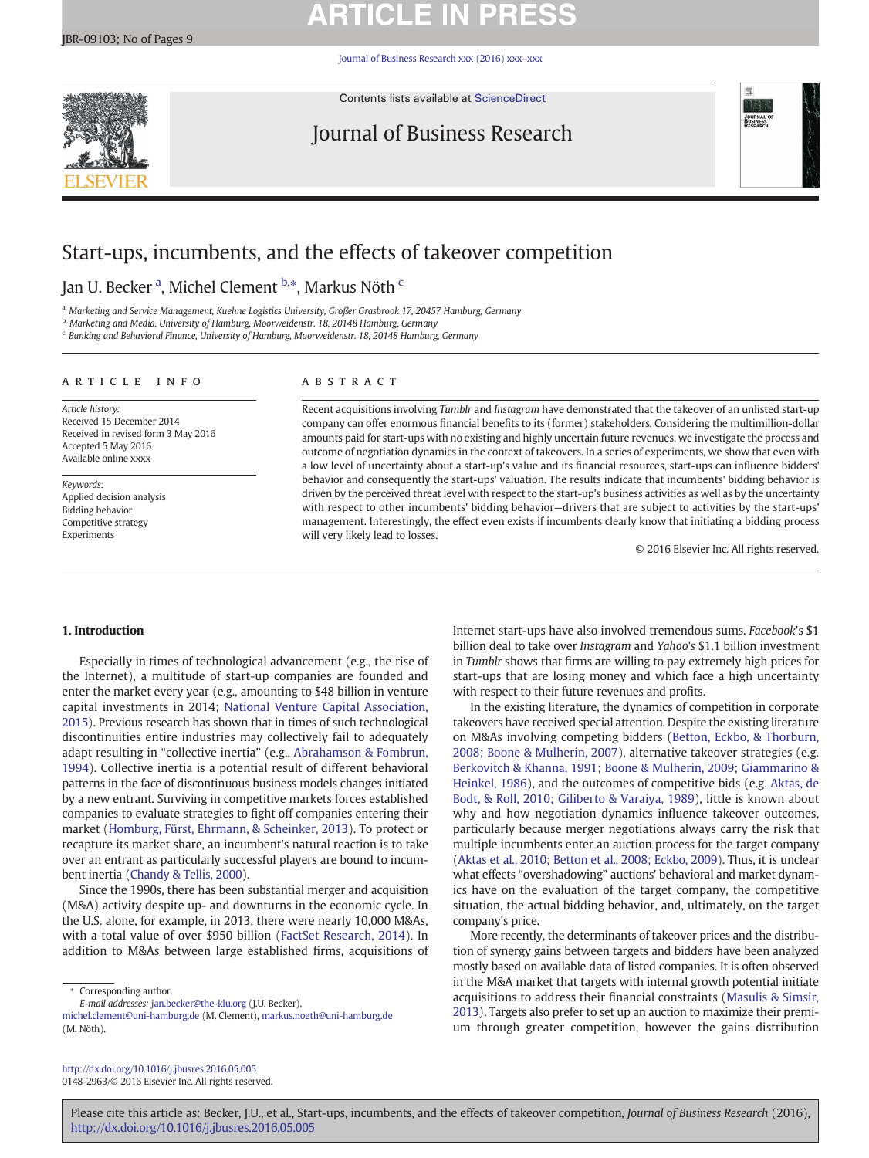# **ARTICLE IN PRESS**

[Journal of Business Research xxx \(2016\) xxx](http://dx.doi.org/10.1016/j.jbusres.2016.05.005)–xxx



Contents lists available at [ScienceDirect](http://www.sciencedirect.com/science/journal/01482963)

# Journal of Business Research



# Start-ups, incumbents, and the effects of takeover competition

# Jan U. Becker <sup>a</sup>, Michel Clement <sup>b,</sup>\*, Markus Nöth <sup>c</sup>

a Marketing and Service Management, Kuehne Logistics University, Großer Grasbrook 17, 20457 Hamburg, Germany

b Marketing and Media, University of Hamburg, Moorweidenstr. 18, 20148 Hamburg, Germany

<sup>c</sup> Banking and Behavioral Finance, University of Hamburg, Moorweidenstr. 18, 20148 Hamburg, Germany

# article info abstract

Article history: Received 15 December 2014 Received in revised form 3 May 2016 Accepted 5 May 2016 Available online xxxx

Keywords: Applied decision analysis Bidding behavior Competitive strategy Experiments

Recent acquisitions involving Tumblr and Instagram have demonstrated that the takeover of an unlisted start-up company can offer enormous financial benefits to its (former) stakeholders. Considering the multimillion-dollar amounts paid for start-ups with no existing and highly uncertain future revenues, we investigate the process and outcome of negotiation dynamics in the context of takeovers. In a series of experiments, we show that even with a low level of uncertainty about a start-up's value and its financial resources, start-ups can influence bidders' behavior and consequently the start-ups' valuation. The results indicate that incumbents' bidding behavior is driven by the perceived threat level with respect to the start-up's business activities as well as by the uncertainty with respect to other incumbents' bidding behavior—drivers that are subject to activities by the start-ups' management. Interestingly, the effect even exists if incumbents clearly know that initiating a bidding process will very likely lead to losses.

© 2016 Elsevier Inc. All rights reserved.

### 1. Introduction

Especially in times of technological advancement (e.g., the rise of the Internet), a multitude of start-up companies are founded and enter the market every year (e.g., amounting to \$48 billion in venture capital investments in 2014; [National Venture Capital Association,](#page-8-0) [2015](#page-8-0)). Previous research has shown that in times of such technological discontinuities entire industries may collectively fail to adequately adapt resulting in "collective inertia" (e.g., [Abrahamson & Fombrun,](#page-7-0) [1994\)](#page-7-0). Collective inertia is a potential result of different behavioral patterns in the face of discontinuous business models changes initiated by a new entrant. Surviving in competitive markets forces established companies to evaluate strategies to fight off companies entering their market [\(Homburg, Fürst, Ehrmann, & Scheinker, 2013\)](#page-8-0). To protect or recapture its market share, an incumbent's natural reaction is to take over an entrant as particularly successful players are bound to incumbent inertia [\(Chandy & Tellis, 2000\)](#page-8-0).

Since the 1990s, there has been substantial merger and acquisition (M&A) activity despite up- and downturns in the economic cycle. In the U.S. alone, for example, in 2013, there were nearly 10,000 M&As, with a total value of over \$950 billion ([FactSet Research, 2014\)](#page-8-0). In addition to M&As between large established firms, acquisitions of

Corresponding author.

E-mail addresses: jan.becker@the-klu.org (J.U. Becker),

<http://dx.doi.org/10.1016/j.jbusres.2016.05.005> 0148-2963/© 2016 Elsevier Inc. All rights reserved. Internet start-ups have also involved tremendous sums. Facebook's \$1 billion deal to take over Instagram and Yahoo's \$1.1 billion investment in Tumblr shows that firms are willing to pay extremely high prices for start-ups that are losing money and which face a high uncertainty with respect to their future revenues and profits.

In the existing literature, the dynamics of competition in corporate takeovers have received special attention. Despite the existing literature on M&As involving competing bidders ([Betton, Eckbo, & Thorburn,](#page-7-0) [2008; Boone & Mulherin, 2007\)](#page-7-0), alternative takeover strategies (e.g. [Berkovitch & Khanna, 1991; Boone & Mulherin, 2009; Giammarino &](#page-7-0) [Heinkel, 1986](#page-7-0)), and the outcomes of competitive bids (e.g. [Aktas, de](#page-7-0) [Bodt, & Roll, 2010; Giliberto & Varaiya, 1989](#page-7-0)), little is known about why and how negotiation dynamics influence takeover outcomes, particularly because merger negotiations always carry the risk that multiple incumbents enter an auction process for the target company [\(Aktas et al., 2010; Betton et al., 2008; Eckbo, 2009\)](#page-7-0). Thus, it is unclear what effects "overshadowing" auctions' behavioral and market dynamics have on the evaluation of the target company, the competitive situation, the actual bidding behavior, and, ultimately, on the target company's price.

More recently, the determinants of takeover prices and the distribution of synergy gains between targets and bidders have been analyzed mostly based on available data of listed companies. It is often observed in the M&A market that targets with internal growth potential initiate acquisitions to address their financial constraints [\(Masulis & Simsir,](#page-8-0) [2013](#page-8-0)). Targets also prefer to set up an auction to maximize their premium through greater competition, however the gains distribution

michel.clement@uni-hamburg.de (M. Clement), [markus.noeth@uni-hamburg.de](mailto:markus.noeth@uni-hamburg.de) (M. Nöth).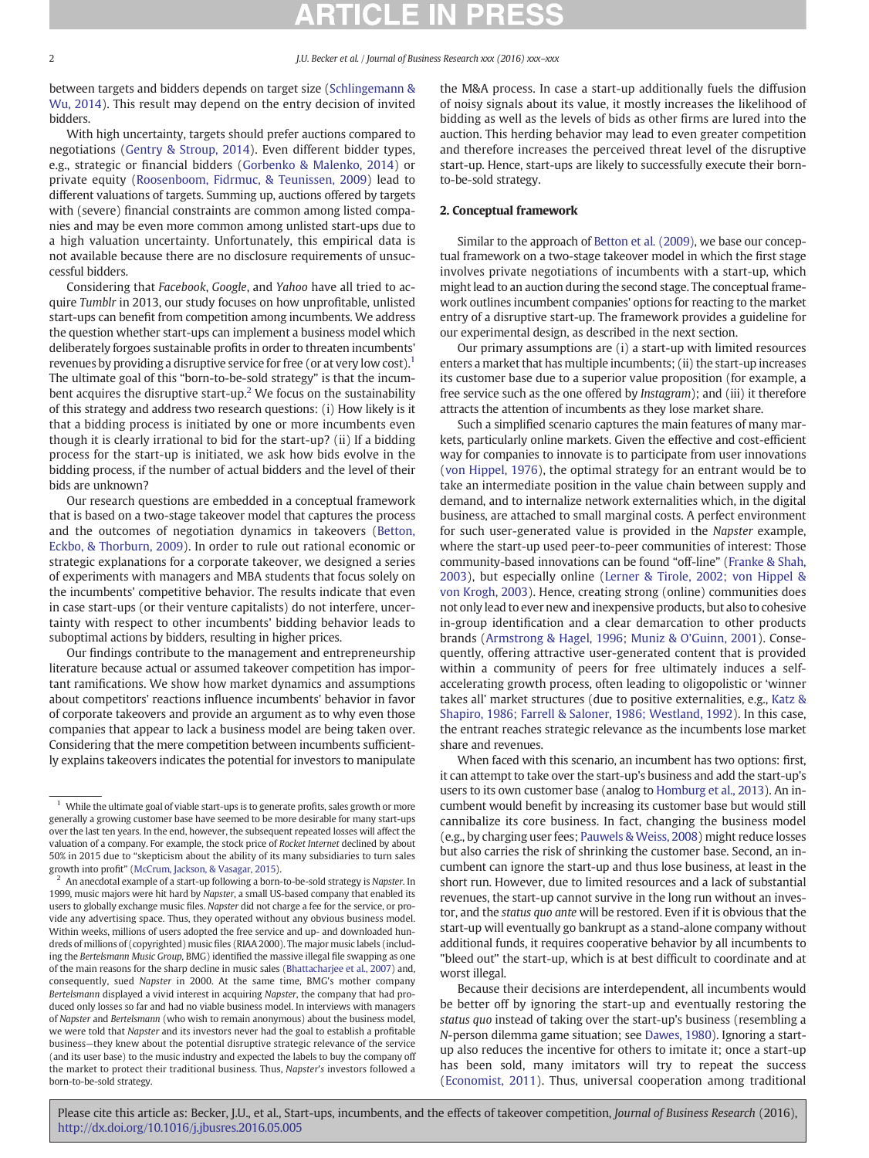between targets and bidders depends on target size [\(Schlingemann &](#page-8-0) [Wu, 2014\)](#page-8-0). This result may depend on the entry decision of invited bidders.

With high uncertainty, targets should prefer auctions compared to negotiations [\(Gentry & Stroup, 2014](#page-8-0)). Even different bidder types, e.g., strategic or financial bidders [\(Gorbenko & Malenko, 2014](#page-8-0)) or private equity ([Roosenboom, Fidrmuc, & Teunissen, 2009\)](#page-8-0) lead to different valuations of targets. Summing up, auctions offered by targets with (severe) financial constraints are common among listed companies and may be even more common among unlisted start-ups due to a high valuation uncertainty. Unfortunately, this empirical data is not available because there are no disclosure requirements of unsuccessful bidders.

Considering that Facebook, Google, and Yahoo have all tried to acquire Tumblr in 2013, our study focuses on how unprofitable, unlisted start-ups can benefit from competition among incumbents. We address the question whether start-ups can implement a business model which deliberately forgoes sustainable profits in order to threaten incumbents' revenues by providing a disruptive service for free (or at very low cost).<sup>1</sup> The ultimate goal of this "born-to-be-sold strategy" is that the incumbent acquires the disruptive start-up.<sup>2</sup> We focus on the sustainability of this strategy and address two research questions: (i) How likely is it that a bidding process is initiated by one or more incumbents even though it is clearly irrational to bid for the start-up? (ii) If a bidding process for the start-up is initiated, we ask how bids evolve in the bidding process, if the number of actual bidders and the level of their bids are unknown?

Our research questions are embedded in a conceptual framework that is based on a two-stage takeover model that captures the process and the outcomes of negotiation dynamics in takeovers ([Betton,](#page-7-0) [Eckbo, & Thorburn, 2009\)](#page-7-0). In order to rule out rational economic or strategic explanations for a corporate takeover, we designed a series of experiments with managers and MBA students that focus solely on the incumbents' competitive behavior. The results indicate that even in case start-ups (or their venture capitalists) do not interfere, uncertainty with respect to other incumbents' bidding behavior leads to suboptimal actions by bidders, resulting in higher prices.

Our findings contribute to the management and entrepreneurship literature because actual or assumed takeover competition has important ramifications. We show how market dynamics and assumptions about competitors' reactions influence incumbents' behavior in favor of corporate takeovers and provide an argument as to why even those companies that appear to lack a business model are being taken over. Considering that the mere competition between incumbents sufficiently explains takeovers indicates the potential for investors to manipulate the M&A process. In case a start-up additionally fuels the diffusion of noisy signals about its value, it mostly increases the likelihood of bidding as well as the levels of bids as other firms are lured into the auction. This herding behavior may lead to even greater competition and therefore increases the perceived threat level of the disruptive start-up. Hence, start-ups are likely to successfully execute their bornto-be-sold strategy.

### 2. Conceptual framework

Similar to the approach of [Betton et al. \(2009\)](#page-7-0), we base our conceptual framework on a two-stage takeover model in which the first stage involves private negotiations of incumbents with a start-up, which might lead to an auction during the second stage. The conceptual framework outlines incumbent companies' options for reacting to the market entry of a disruptive start-up. The framework provides a guideline for our experimental design, as described in the next section.

Our primary assumptions are (i) a start-up with limited resources enters a market that has multiple incumbents; (ii) the start-up increases its customer base due to a superior value proposition (for example, a free service such as the one offered by Instagram); and (iii) it therefore attracts the attention of incumbents as they lose market share.

Such a simplified scenario captures the main features of many markets, particularly online markets. Given the effective and cost-efficient way for companies to innovate is to participate from user innovations [\(von Hippel, 1976\)](#page-8-0), the optimal strategy for an entrant would be to take an intermediate position in the value chain between supply and demand, and to internalize network externalities which, in the digital business, are attached to small marginal costs. A perfect environment for such user-generated value is provided in the Napster example, where the start-up used peer-to-peer communities of interest: Those community-based innovations can be found "off-line" ([Franke & Shah,](#page-8-0) [2003](#page-8-0)), but especially online ([Lerner & Tirole, 2002; von Hippel &](#page-8-0) [von Krogh, 2003\)](#page-8-0). Hence, creating strong (online) communities does not only lead to ever new and inexpensive products, but also to cohesive in-group identification and a clear demarcation to other products brands [\(Armstrong & Hagel, 1996; Muniz & O'Guinn, 2001\)](#page-7-0). Consequently, offering attractive user-generated content that is provided within a community of peers for free ultimately induces a selfaccelerating growth process, often leading to oligopolistic or 'winner takes all' market structures (due to positive externalities, e.g., [Katz &](#page-8-0) [Shapiro, 1986; Farrell & Saloner, 1986; Westland, 1992](#page-8-0)). In this case, the entrant reaches strategic relevance as the incumbents lose market share and revenues.

When faced with this scenario, an incumbent has two options: first, it can attempt to take over the start-up's business and add the start-up's users to its own customer base (analog to [Homburg et al., 2013\)](#page-8-0). An incumbent would benefit by increasing its customer base but would still cannibalize its core business. In fact, changing the business model (e.g., by charging user fees; [Pauwels & Weiss, 2008](#page-8-0)) might reduce losses but also carries the risk of shrinking the customer base. Second, an incumbent can ignore the start-up and thus lose business, at least in the short run. However, due to limited resources and a lack of substantial revenues, the start-up cannot survive in the long run without an investor, and the status quo ante will be restored. Even if it is obvious that the start-up will eventually go bankrupt as a stand-alone company without additional funds, it requires cooperative behavior by all incumbents to "bleed out" the start-up, which is at best difficult to coordinate and at worst illegal.

Because their decisions are interdependent, all incumbents would be better off by ignoring the start-up and eventually restoring the status quo instead of taking over the start-up's business (resembling a N-person dilemma game situation; see [Dawes, 1980\)](#page-8-0). Ignoring a startup also reduces the incentive for others to imitate it; once a start-up has been sold, many imitators will try to repeat the success [\(Economist, 2011\)](#page-8-0). Thus, universal cooperation among traditional

 $1$  While the ultimate goal of viable start-ups is to generate profits, sales growth or more generally a growing customer base have seemed to be more desirable for many start-ups over the last ten years. In the end, however, the subsequent repeated losses will affect the valuation of a company. For example, the stock price of Rocket Internet declined by about 50% in 2015 due to "skepticism about the ability of its many subsidiaries to turn sales growth into profit" ([McCrum, Jackson, & Vasagar, 2015](#page-8-0)).

 $2$  An anecdotal example of a start-up following a born-to-be-sold strategy is Napster. In 1999, music majors were hit hard by Napster, a small US-based company that enabled its users to globally exchange music files. Napster did not charge a fee for the service, or provide any advertising space. Thus, they operated without any obvious business model. Within weeks, millions of users adopted the free service and up- and downloaded hundreds of millions of (copyrighted) music files (RIAA 2000). The major music labels (including the Bertelsmann Music Group, BMG) identified the massive illegal file swapping as one of the main reasons for the sharp decline in music sales [\(Bhattacharjee et al., 2007](#page-8-0)) and, consequently, sued Napster in 2000. At the same time, BMG's mother company Bertelsmann displayed a vivid interest in acquiring Napster, the company that had produced only losses so far and had no viable business model. In interviews with managers of Napster and Bertelsmann (who wish to remain anonymous) about the business model, we were told that Napster and its investors never had the goal to establish a profitable business—they knew about the potential disruptive strategic relevance of the service (and its user base) to the music industry and expected the labels to buy the company off the market to protect their traditional business. Thus, Napster's investors followed a born-to-be-sold strategy.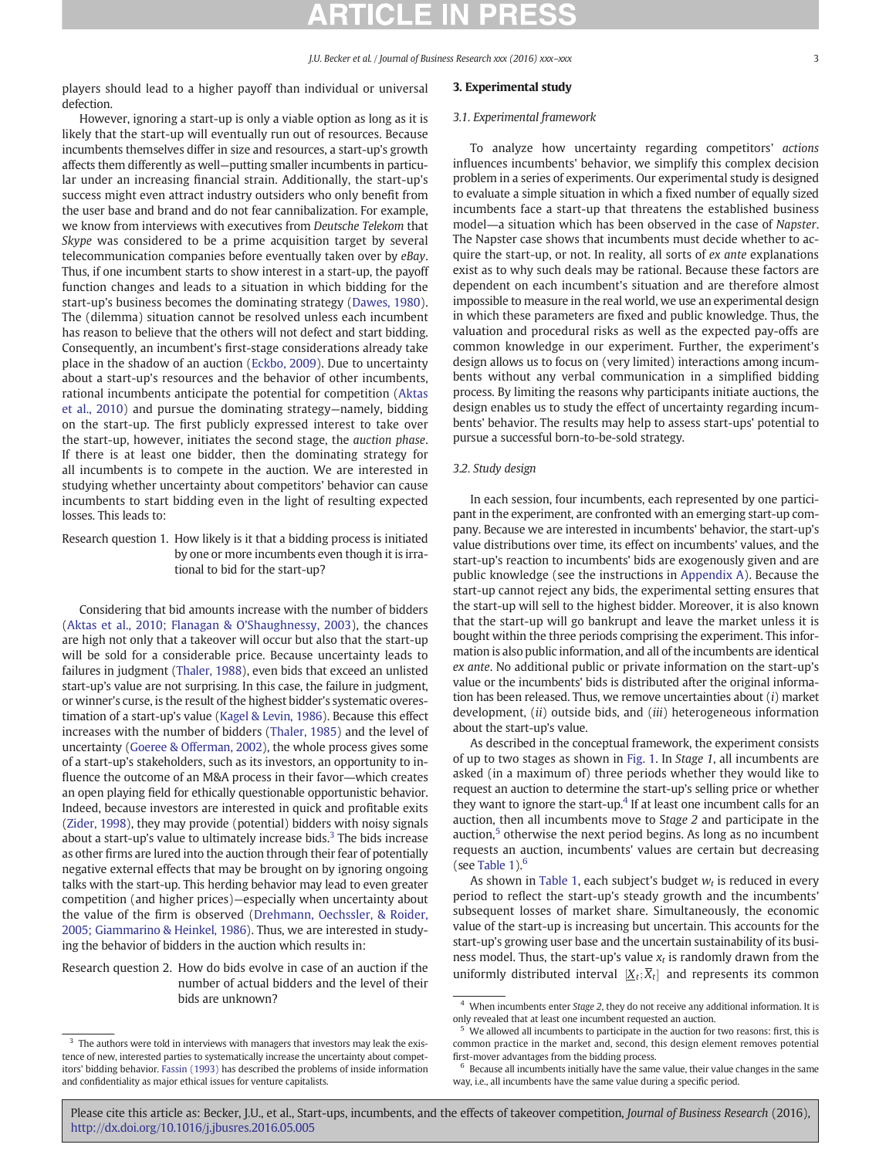players should lead to a higher payoff than individual or universal defection.

However, ignoring a start-up is only a viable option as long as it is likely that the start-up will eventually run out of resources. Because incumbents themselves differ in size and resources, a start-up's growth affects them differently as well—putting smaller incumbents in particular under an increasing financial strain. Additionally, the start-up's success might even attract industry outsiders who only benefit from the user base and brand and do not fear cannibalization. For example, we know from interviews with executives from Deutsche Telekom that Skype was considered to be a prime acquisition target by several telecommunication companies before eventually taken over by eBay. Thus, if one incumbent starts to show interest in a start-up, the payoff function changes and leads to a situation in which bidding for the start-up's business becomes the dominating strategy ([Dawes, 1980](#page-8-0)). The (dilemma) situation cannot be resolved unless each incumbent has reason to believe that the others will not defect and start bidding. Consequently, an incumbent's first-stage considerations already take place in the shadow of an auction ([Eckbo, 2009\)](#page-8-0). Due to uncertainty about a start-up's resources and the behavior of other incumbents, rational incumbents anticipate the potential for competition [\(Aktas](#page-7-0) [et al., 2010](#page-7-0)) and pursue the dominating strategy—namely, bidding on the start-up. The first publicly expressed interest to take over the start-up, however, initiates the second stage, the auction phase. If there is at least one bidder, then the dominating strategy for all incumbents is to compete in the auction. We are interested in studying whether uncertainty about competitors' behavior can cause incumbents to start bidding even in the light of resulting expected losses. This leads to:

Research question 1. How likely is it that a bidding process is initiated by one or more incumbents even though it is irrational to bid for the start-up?

Considering that bid amounts increase with the number of bidders [\(Aktas et al., 2010; Flanagan & O'Shaughnessy, 2003\)](#page-7-0), the chances are high not only that a takeover will occur but also that the start-up will be sold for a considerable price. Because uncertainty leads to failures in judgment [\(Thaler, 1988\)](#page-8-0), even bids that exceed an unlisted start-up's value are not surprising. In this case, the failure in judgment, or winner's curse, is the result of the highest bidder's systematic overestimation of a start-up's value ([Kagel & Levin, 1986\)](#page-8-0). Because this effect increases with the number of bidders [\(Thaler, 1985\)](#page-8-0) and the level of uncertainty [\(Goeree & Offerman, 2002\)](#page-8-0), the whole process gives some of a start-up's stakeholders, such as its investors, an opportunity to influence the outcome of an M&A process in their favor―which creates an open playing field for ethically questionable opportunistic behavior. Indeed, because investors are interested in quick and profitable exits [\(Zider, 1998](#page-8-0)), they may provide (potential) bidders with noisy signals about a start-up's value to ultimately increase bids. $3$  The bids increase as other firms are lured into the auction through their fear of potentially negative external effects that may be brought on by ignoring ongoing talks with the start-up. This herding behavior may lead to even greater competition (and higher prices)—especially when uncertainty about the value of the firm is observed [\(Drehmann, Oechssler, & Roider,](#page-8-0) [2005; Giammarino & Heinkel, 1986\)](#page-8-0). Thus, we are interested in studying the behavior of bidders in the auction which results in:

Research question 2. How do bids evolve in case of an auction if the number of actual bidders and the level of their bids are unknown?

### 3. Experimental study

### 3.1. Experimental framework

To analyze how uncertainty regarding competitors' actions influences incumbents' behavior, we simplify this complex decision problem in a series of experiments. Our experimental study is designed to evaluate a simple situation in which a fixed number of equally sized incumbents face a start-up that threatens the established business model―a situation which has been observed in the case of Napster. The Napster case shows that incumbents must decide whether to acquire the start-up, or not. In reality, all sorts of ex ante explanations exist as to why such deals may be rational. Because these factors are dependent on each incumbent's situation and are therefore almost impossible to measure in the real world, we use an experimental design in which these parameters are fixed and public knowledge. Thus, the valuation and procedural risks as well as the expected pay-offs are common knowledge in our experiment. Further, the experiment's design allows us to focus on (very limited) interactions among incumbents without any verbal communication in a simplified bidding process. By limiting the reasons why participants initiate auctions, the design enables us to study the effect of uncertainty regarding incumbents' behavior. The results may help to assess start-ups' potential to pursue a successful born-to-be-sold strategy.

### 3.2. Study design

In each session, four incumbents, each represented by one participant in the experiment, are confronted with an emerging start-up company. Because we are interested in incumbents' behavior, the start-up's value distributions over time, its effect on incumbents' values, and the start-up's reaction to incumbents' bids are exogenously given and are public knowledge (see the instructions in [Appendix A\)](#page-6-0). Because the start-up cannot reject any bids, the experimental setting ensures that the start-up will sell to the highest bidder. Moreover, it is also known that the start-up will go bankrupt and leave the market unless it is bought within the three periods comprising the experiment. This information is also public information, and all of the incumbents are identical ex ante. No additional public or private information on the start-up's value or the incumbents' bids is distributed after the original information has been released. Thus, we remove uncertainties about  $(i)$  market development, (ii) outside bids, and (iii) heterogeneous information about the start-up's value.

As described in the conceptual framework, the experiment consists of up to two stages as shown in [Fig. 1](#page-3-0). In Stage 1, all incumbents are asked (in a maximum of) three periods whether they would like to request an auction to determine the start-up's selling price or whether they want to ignore the start-up.<sup>4</sup> If at least one incumbent calls for an auction, then all incumbents move to Stage 2 and participate in the auction,<sup>5</sup> otherwise the next period begins. As long as no incumbent requests an auction, incumbents' values are certain but decreasing (see Table  $1$ ).<sup>6</sup>

As shown in [Table 1](#page-3-0), each subject's budget  $w_t$  is reduced in every period to reflect the start-up's steady growth and the incumbents' subsequent losses of market share. Simultaneously, the economic value of the start-up is increasing but uncertain. This accounts for the start-up's growing user base and the uncertain sustainability of its business model. Thus, the start-up's value  $x_t$  is randomly drawn from the uniformly distributed interval  $[\underline{X}_t; X_t]$  and represents its common

The authors were told in interviews with managers that investors may leak the existence of new, interested parties to systematically increase the uncertainty about competitors' bidding behavior. [Fassin \(1993\)](#page-8-0) has described the problems of inside information and confidentiality as major ethical issues for venture capitalists.

<sup>&</sup>lt;sup>4</sup> When incumbents enter Stage 2, they do not receive any additional information. It is only revealed that at least one incumbent requested an auction.

We allowed all incumbents to participate in the auction for two reasons: first, this is common practice in the market and, second, this design element removes potential first-mover advantages from the bidding process.

<sup>6</sup> Because all incumbents initially have the same value, their value changes in the same way, i.e., all incumbents have the same value during a specific period.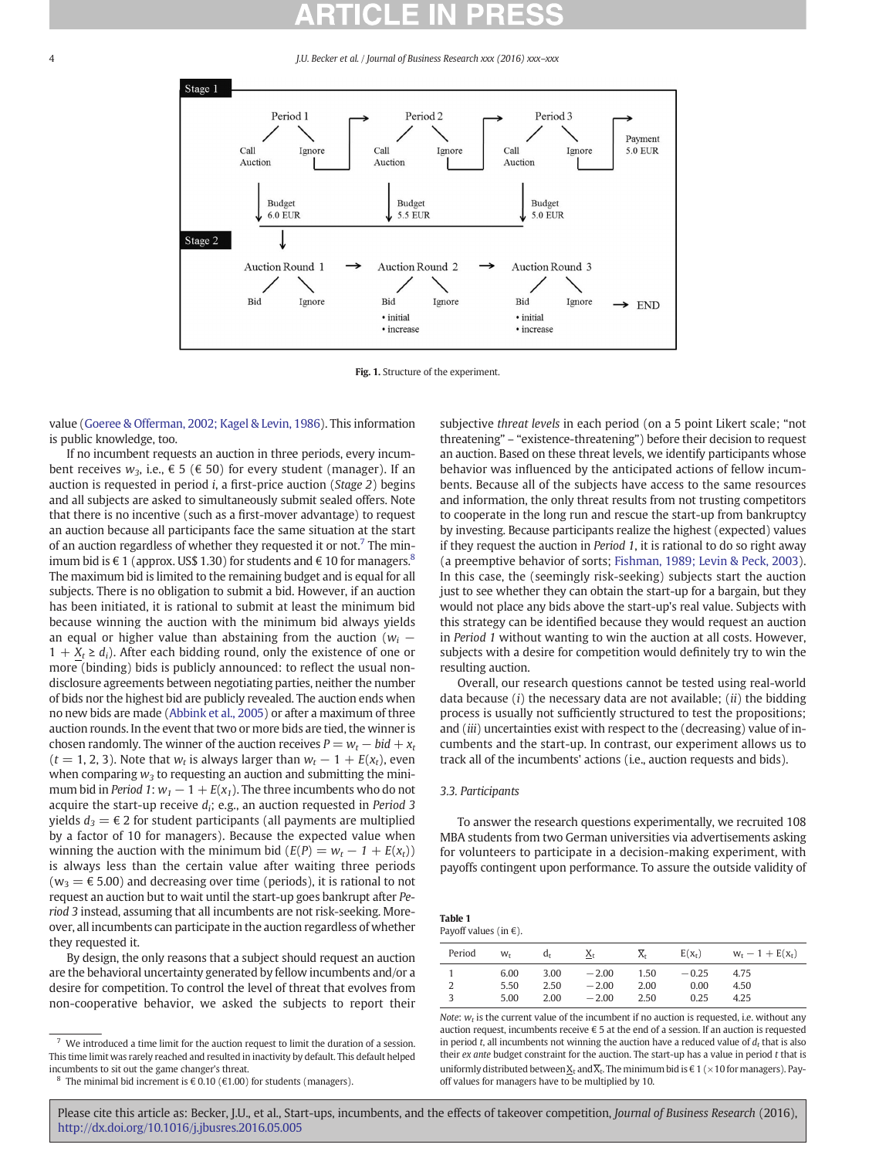<span id="page-3-0"></span>

Fig. 1. Structure of the experiment.

value [\(Goeree & Offerman, 2002; Kagel & Levin, 1986](#page-8-0)). This information is public knowledge, too.

If no incumbent requests an auction in three periods, every incumbent receives  $w_3$ , i.e.,  $\in$  5 ( $\in$  50) for every student (manager). If an auction is requested in period i, a first-price auction (Stage 2) begins and all subjects are asked to simultaneously submit sealed offers. Note that there is no incentive (such as a first-mover advantage) to request an auction because all participants face the same situation at the start of an auction regardless of whether they requested it or not.7 The minimum bid is € 1 (approx. US\$ 1.30) for students and € 10 for managers.<sup>8</sup> The maximum bid is limited to the remaining budget and is equal for all subjects. There is no obligation to submit a bid. However, if an auction has been initiated, it is rational to submit at least the minimum bid because winning the auction with the minimum bid always yields an equal or higher value than abstaining from the auction ( $w_i$  –  $1 + X_t \ge d_i$ ). After each bidding round, only the existence of one or more (binding) bids is publicly announced: to reflect the usual nondisclosure agreements between negotiating parties, neither the number of bids nor the highest bid are publicly revealed. The auction ends when no new bids are made [\(Abbink et al., 2005\)](#page-7-0) or after a maximum of three auction rounds. In the event that two or more bids are tied, the winner is chosen randomly. The winner of the auction receives  $P = w_t - bid + x_t$  $(t = 1, 2, 3)$ . Note that  $w_t$  is always larger than  $w_t - 1 + E(x_t)$ , even when comparing  $w_3$  to requesting an auction and submitting the minimum bid in Period 1:  $w_1 - 1 + E(x_1)$ . The three incumbents who do not acquire the start-up receive  $d_i$ ; e.g., an auction requested in Period 3 yields  $d_3 = \epsilon$  2 for student participants (all payments are multiplied by a factor of 10 for managers). Because the expected value when winning the auction with the minimum bid  $(E(P) = w_t - 1 + E(x_t))$ is always less than the certain value after waiting three periods ( $w_3 = \epsilon$  5.00) and decreasing over time (periods), it is rational to not request an auction but to wait until the start-up goes bankrupt after Period 3 instead, assuming that all incumbents are not risk-seeking. Moreover, all incumbents can participate in the auction regardless of whether they requested it.

By design, the only reasons that a subject should request an auction are the behavioral uncertainty generated by fellow incumbents and/or a desire for competition. To control the level of threat that evolves from non-cooperative behavior, we asked the subjects to report their

We introduced a time limit for the auction request to limit the duration of a session. This time limit was rarely reached and resulted in inactivity by default. This default helped incumbents to sit out the game changer's threat.

subjective threat levels in each period (on a 5 point Likert scale; "not threatening"–"existence-threatening") before their decision to request an auction. Based on these threat levels, we identify participants whose behavior was influenced by the anticipated actions of fellow incumbents. Because all of the subjects have access to the same resources and information, the only threat results from not trusting competitors to cooperate in the long run and rescue the start-up from bankruptcy by investing. Because participants realize the highest (expected) values if they request the auction in Period 1, it is rational to do so right away (a preemptive behavior of sorts; [Fishman, 1989; Levin & Peck, 2003](#page-8-0)). In this case, the (seemingly risk-seeking) subjects start the auction just to see whether they can obtain the start-up for a bargain, but they would not place any bids above the start-up's real value. Subjects with this strategy can be identified because they would request an auction in Period 1 without wanting to win the auction at all costs. However, subjects with a desire for competition would definitely try to win the resulting auction.

Overall, our research questions cannot be tested using real-world data because  $(i)$  the necessary data are not available;  $(ii)$  the bidding process is usually not sufficiently structured to test the propositions; and (iii) uncertainties exist with respect to the (decreasing) value of incumbents and the start-up. In contrast, our experiment allows us to track all of the incumbents' actions (i.e., auction requests and bids).

#### 3.3. Participants

To answer the research questions experimentally, we recruited 108 MBA students from two German universities via advertisements asking for volunteers to participate in a decision-making experiment, with payoffs contingent upon performance. To assure the outside validity of

| Table 1                         |  |
|---------------------------------|--|
| Payoff values (in $\epsilon$ ). |  |

| Period | W <sub>t</sub> | d.   | $X_{t}$ | $\overline{\mathrm{X}}_\mathrm{f}$ | $E(x_t)$ | $W_t - 1 + E(X_t)$ |
|--------|----------------|------|---------|------------------------------------|----------|--------------------|
|        | 6.00           | 3.00 | $-2.00$ | 1.50                               | $-0.25$  | 4.75               |
|        | 5.50           | 2.50 | $-2.00$ | 2.00                               | 0.00     | 4.50               |
|        | 5.00           | 2.00 | $-2.00$ | 2.50                               | 0.25     | 4.25               |

Note:  $w_t$  is the current value of the incumbent if no auction is requested, i.e. without any auction request, incumbents receive € 5 at the end of a session. If an auction is requested in period t, all incumbents not winning the auction have a reduced value of  $d_t$  that is also their  $ex$  ante budget constraint for the auction. The start-up has a value in period  $t$  that is uniformly distributed between  $\underline{X}_t$  and  $\overline{X}_t$ . The minimum bid is  $\epsilon$  1 ( $\times$  10 for managers). Payoff values for managers have to be multiplied by 10.

The minimal bid increment is  $\in$  0.10 ( $\in$ 1.00) for students (managers).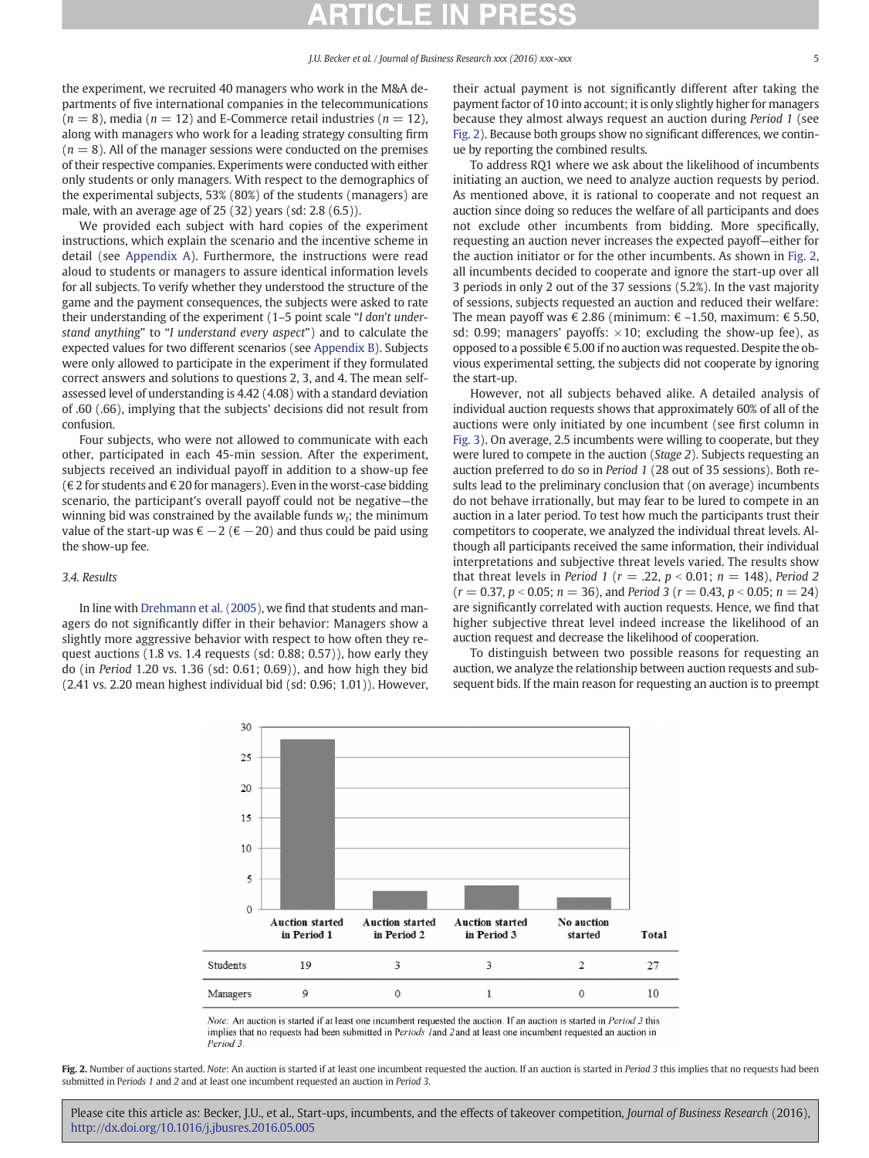the experiment, we recruited 40 managers who work in the M&A departments of five international companies in the telecommunications  $(n = 8)$ , media  $(n = 12)$  and E-Commerce retail industries  $(n = 12)$ , along with managers who work for a leading strategy consulting firm  $(n = 8)$ . All of the manager sessions were conducted on the premises of their respective companies. Experiments were conducted with either only students or only managers. With respect to the demographics of the experimental subjects, 53% (80%) of the students (managers) are male, with an average age of 25 (32) years (sd: 2.8 (6.5)).

We provided each subject with hard copies of the experiment instructions, which explain the scenario and the incentive scheme in detail (see [Appendix A\)](#page-6-0). Furthermore, the instructions were read aloud to students or managers to assure identical information levels for all subjects. To verify whether they understood the structure of the game and the payment consequences, the subjects were asked to rate their understanding of the experiment (1–5 point scale "I don't understand anything" to "I understand every aspect") and to calculate the expected values for two different scenarios (see [Appendix B\)](#page-7-0). Subjects were only allowed to participate in the experiment if they formulated correct answers and solutions to questions 2, 3, and 4. The mean selfassessed level of understanding is 4.42 (4.08) with a standard deviation of .60 (.66), implying that the subjects' decisions did not result from confusion.

Four subjects, who were not allowed to communicate with each other, participated in each 45-min session. After the experiment, subjects received an individual payoff in addition to a show-up fee (€ 2 for students and € 20 for managers). Even in the worst-case bidding scenario, the participant's overall payoff could not be negative—the winning bid was constrained by the available funds  $w_t$ ; the minimum value of the start-up was  $\epsilon$  – 2 ( $\epsilon$  – 20) and thus could be paid using the show-up fee.

### 3.4. Results

In line with [Drehmann et al. \(2005\)](#page-8-0), we find that students and managers do not significantly differ in their behavior: Managers show a slightly more aggressive behavior with respect to how often they request auctions (1.8 vs. 1.4 requests (sd: 0.88; 0.57)), how early they do (in Period 1.20 vs. 1.36 (sd: 0.61; 0.69)), and how high they bid (2.41 vs. 2.20 mean highest individual bid (sd: 0.96; 1.01)). However, their actual payment is not significantly different after taking the payment factor of 10 into account; it is only slightly higher for managers because they almost always request an auction during Period 1 (see Fig. 2). Because both groups show no significant differences, we continue by reporting the combined results.

To address RQ1 where we ask about the likelihood of incumbents initiating an auction, we need to analyze auction requests by period. As mentioned above, it is rational to cooperate and not request an auction since doing so reduces the welfare of all participants and does not exclude other incumbents from bidding. More specifically, requesting an auction never increases the expected payoff—either for the auction initiator or for the other incumbents. As shown in Fig. 2, all incumbents decided to cooperate and ignore the start-up over all 3 periods in only 2 out of the 37 sessions (5.2%). In the vast majority of sessions, subjects requested an auction and reduced their welfare: The mean payoff was  $\in 2.86$  (minimum:  $\in -1.50$ , maximum:  $\in 5.50$ , sd: 0.99; managers' payoffs:  $\times$ 10; excluding the show-up fee), as opposed to a possible € 5.00 if no auction was requested. Despite the obvious experimental setting, the subjects did not cooperate by ignoring the start-up.

However, not all subjects behaved alike. A detailed analysis of individual auction requests shows that approximately 60% of all of the auctions were only initiated by one incumbent (see first column in [Fig. 3](#page-5-0)). On average, 2.5 incumbents were willing to cooperate, but they were lured to compete in the auction (Stage 2). Subjects requesting an auction preferred to do so in Period 1 (28 out of 35 sessions). Both results lead to the preliminary conclusion that (on average) incumbents do not behave irrationally, but may fear to be lured to compete in an auction in a later period. To test how much the participants trust their competitors to cooperate, we analyzed the individual threat levels. Although all participants received the same information, their individual interpretations and subjective threat levels varied. The results show that threat levels in Period 1 ( $r = .22$ ,  $p < 0.01$ ;  $n = 148$ ), Period 2  $(r = 0.37, p < 0.05; n = 36)$ , and Period 3  $(r = 0.43, p < 0.05; n = 24)$ are significantly correlated with auction requests. Hence, we find that higher subjective threat level indeed increase the likelihood of an auction request and decrease the likelihood of cooperation.

To distinguish between two possible reasons for requesting an auction, we analyze the relationship between auction requests and subsequent bids. If the main reason for requesting an auction is to preempt



*Note:* An auction is started if at least one incumbent requested the auction. If an auction is started in *Period 3* this implies that no requests had been submitted in Periods land 2 and at least one incumbent requested an auction in Period 3

Fig. 2. Number of auctions started. Note: An auction is started if at least one incumbent requested the auction. If an auction is started in Period 3 this implies that no requests had been submitted in Periods 1 and 2 and at least one incumbent requested an auction in Period 3.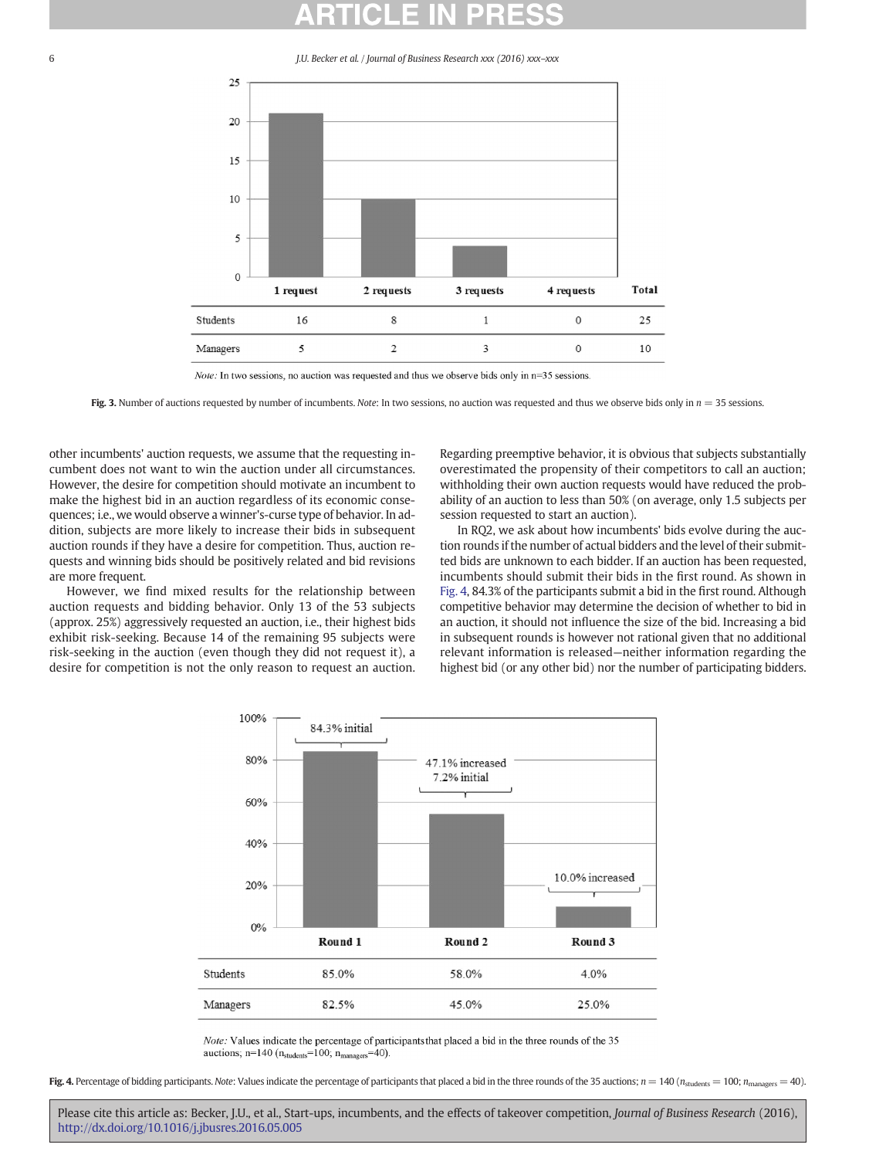<span id="page-5-0"></span>

Note: In two sessions, no auction was requested and thus we observe bids only in  $n=35$  sessions.

Fig. 3. Number of auctions requested by number of incumbents. Note: In two sessions, no auction was requested and thus we observe bids only in  $n = 35$  sessions.

other incumbents' auction requests, we assume that the requesting incumbent does not want to win the auction under all circumstances. However, the desire for competition should motivate an incumbent to make the highest bid in an auction regardless of its economic consequences; i.e., we would observe a winner's-curse type of behavior. In addition, subjects are more likely to increase their bids in subsequent auction rounds if they have a desire for competition. Thus, auction requests and winning bids should be positively related and bid revisions are more frequent.

However, we find mixed results for the relationship between auction requests and bidding behavior. Only 13 of the 53 subjects (approx. 25%) aggressively requested an auction, i.e., their highest bids exhibit risk-seeking. Because 14 of the remaining 95 subjects were risk-seeking in the auction (even though they did not request it), a desire for competition is not the only reason to request an auction. Regarding preemptive behavior, it is obvious that subjects substantially overestimated the propensity of their competitors to call an auction; withholding their own auction requests would have reduced the probability of an auction to less than 50% (on average, only 1.5 subjects per session requested to start an auction).

In RQ2, we ask about how incumbents' bids evolve during the auction rounds if the number of actual bidders and the level of their submitted bids are unknown to each bidder. If an auction has been requested, incumbents should submit their bids in the first round. As shown in Fig. 4, 84.3% of the participants submit a bid in the first round. Although competitive behavior may determine the decision of whether to bid in an auction, it should not influence the size of the bid. Increasing a bid in subsequent rounds is however not rational given that no additional relevant information is released—neither information regarding the highest bid (or any other bid) nor the number of participating bidders.



Note: Values indicate the percentage of participants that placed a bid in the three rounds of the 35 auctions; n=140 ( $n_{\text{students}}$ =100;  $n_{\text{managers}}$ =40).

Fig. 4. Percentage of bidding participants. Note: Values indicate the percentage of participants that placed a bid in the three rounds of the 35 auctions;  $n = 140$  ( $n_{\text{students}} = 100$ ;  $n_{\text{mandgers}} = 40$ ).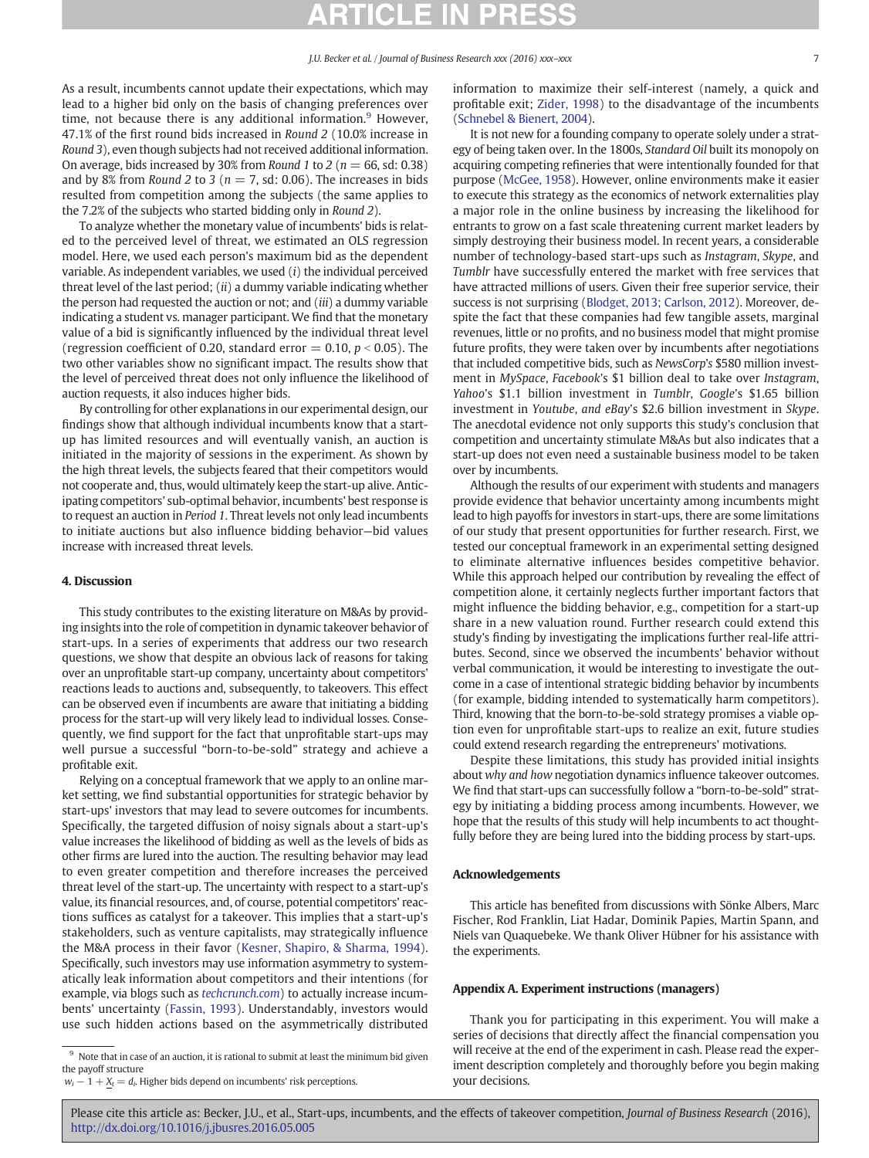<span id="page-6-0"></span>As a result, incumbents cannot update their expectations, which may lead to a higher bid only on the basis of changing preferences over time, not because there is any additional information.<sup>9</sup> However, 47.1% of the first round bids increased in Round 2 (10.0% increase in Round 3), even though subjects had not received additional information. On average, bids increased by 30% from Round 1 to 2 ( $n = 66$ , sd: 0.38) and by 8% from Round 2 to 3 ( $n = 7$ , sd: 0.06). The increases in bids resulted from competition among the subjects (the same applies to the 7.2% of the subjects who started bidding only in Round 2).

To analyze whether the monetary value of incumbents' bids is related to the perceived level of threat, we estimated an OLS regression model. Here, we used each person's maximum bid as the dependent variable. As independent variables, we used  $(i)$  the individual perceived threat level of the last period;  $(ii)$  a dummy variable indicating whether the person had requested the auction or not; and (iii) a dummy variable indicating a student vs. manager participant. We find that the monetary value of a bid is significantly influenced by the individual threat level (regression coefficient of 0.20, standard error  $= 0.10$ ,  $p < 0.05$ ). The two other variables show no significant impact. The results show that the level of perceived threat does not only influence the likelihood of auction requests, it also induces higher bids.

By controlling for other explanations in our experimental design, our findings show that although individual incumbents know that a startup has limited resources and will eventually vanish, an auction is initiated in the majority of sessions in the experiment. As shown by the high threat levels, the subjects feared that their competitors would not cooperate and, thus, would ultimately keep the start-up alive. Anticipating competitors' sub-optimal behavior, incumbents' best response is to request an auction in Period 1. Threat levels not only lead incumbents to initiate auctions but also influence bidding behavior—bid values increase with increased threat levels.

### 4. Discussion

This study contributes to the existing literature on M&As by providing insights into the role of competition in dynamic takeover behavior of start-ups. In a series of experiments that address our two research questions, we show that despite an obvious lack of reasons for taking over an unprofitable start-up company, uncertainty about competitors' reactions leads to auctions and, subsequently, to takeovers. This effect can be observed even if incumbents are aware that initiating a bidding process for the start-up will very likely lead to individual losses. Consequently, we find support for the fact that unprofitable start-ups may well pursue a successful "born-to-be-sold" strategy and achieve a profitable exit.

Relying on a conceptual framework that we apply to an online market setting, we find substantial opportunities for strategic behavior by start-ups' investors that may lead to severe outcomes for incumbents. Specifically, the targeted diffusion of noisy signals about a start-up's value increases the likelihood of bidding as well as the levels of bids as other firms are lured into the auction. The resulting behavior may lead to even greater competition and therefore increases the perceived threat level of the start-up. The uncertainty with respect to a start-up's value, its financial resources, and, of course, potential competitors' reactions suffices as catalyst for a takeover. This implies that a start-up's stakeholders, such as venture capitalists, may strategically influence the M&A process in their favor [\(Kesner, Shapiro, & Sharma, 1994](#page-8-0)). Specifically, such investors may use information asymmetry to systematically leak information about competitors and their intentions (for example, via blogs such as *[techcrunch.com](http://techcrunch.com)*) to actually increase incumbents' uncertainty ([Fassin, 1993](#page-8-0)). Understandably, investors would use such hidden actions based on the asymmetrically distributed

information to maximize their self-interest (namely, a quick and profitable exit; [Zider, 1998\)](#page-8-0) to the disadvantage of the incumbents [\(Schnebel & Bienert, 2004\)](#page-8-0).

It is not new for a founding company to operate solely under a strategy of being taken over. In the 1800s, Standard Oil built its monopoly on acquiring competing refineries that were intentionally founded for that purpose [\(McGee, 1958](#page-8-0)). However, online environments make it easier to execute this strategy as the economics of network externalities play a major role in the online business by increasing the likelihood for entrants to grow on a fast scale threatening current market leaders by simply destroying their business model. In recent years, a considerable number of technology-based start-ups such as Instagram, Skype, and Tumblr have successfully entered the market with free services that have attracted millions of users. Given their free superior service, their success is not surprising [\(Blodget, 2013; Carlson, 2012\)](#page-8-0). Moreover, despite the fact that these companies had few tangible assets, marginal revenues, little or no profits, and no business model that might promise future profits, they were taken over by incumbents after negotiations that included competitive bids, such as NewsCorp's \$580 million investment in MySpace, Facebook's \$1 billion deal to take over Instagram, Yahoo's \$1.1 billion investment in Tumblr, Google's \$1.65 billion investment in Youtube, and eBay's \$2.6 billion investment in Skype. The anecdotal evidence not only supports this study's conclusion that competition and uncertainty stimulate M&As but also indicates that a start-up does not even need a sustainable business model to be taken over by incumbents.

Although the results of our experiment with students and managers provide evidence that behavior uncertainty among incumbents might lead to high payoffs for investors in start-ups, there are some limitations of our study that present opportunities for further research. First, we tested our conceptual framework in an experimental setting designed to eliminate alternative influences besides competitive behavior. While this approach helped our contribution by revealing the effect of competition alone, it certainly neglects further important factors that might influence the bidding behavior, e.g., competition for a start-up share in a new valuation round. Further research could extend this study's finding by investigating the implications further real-life attributes. Second, since we observed the incumbents' behavior without verbal communication, it would be interesting to investigate the outcome in a case of intentional strategic bidding behavior by incumbents (for example, bidding intended to systematically harm competitors). Third, knowing that the born-to-be-sold strategy promises a viable option even for unprofitable start-ups to realize an exit, future studies could extend research regarding the entrepreneurs' motivations.

Despite these limitations, this study has provided initial insights about why and how negotiation dynamics influence takeover outcomes. We find that start-ups can successfully follow a "born-to-be-sold" strategy by initiating a bidding process among incumbents. However, we hope that the results of this study will help incumbents to act thoughtfully before they are being lured into the bidding process by start-ups.

#### Acknowledgements

This article has benefited from discussions with Sönke Albers, Marc Fischer, Rod Franklin, Liat Hadar, Dominik Papies, Martin Spann, and Niels van Quaquebeke. We thank Oliver Hübner for his assistance with the experiments.

### Appendix A. Experiment instructions (managers)

Thank you for participating in this experiment. You will make a series of decisions that directly affect the financial compensation you will receive at the end of the experiment in cash. Please read the experiment description completely and thoroughly before you begin making your decisions.

 $9$  Note that in case of an auction, it is rational to submit at least the minimum bid given the payoff structure

 $w_i - 1 + X_t = d_i$ . Higher bids depend on incumbents' risk perceptions.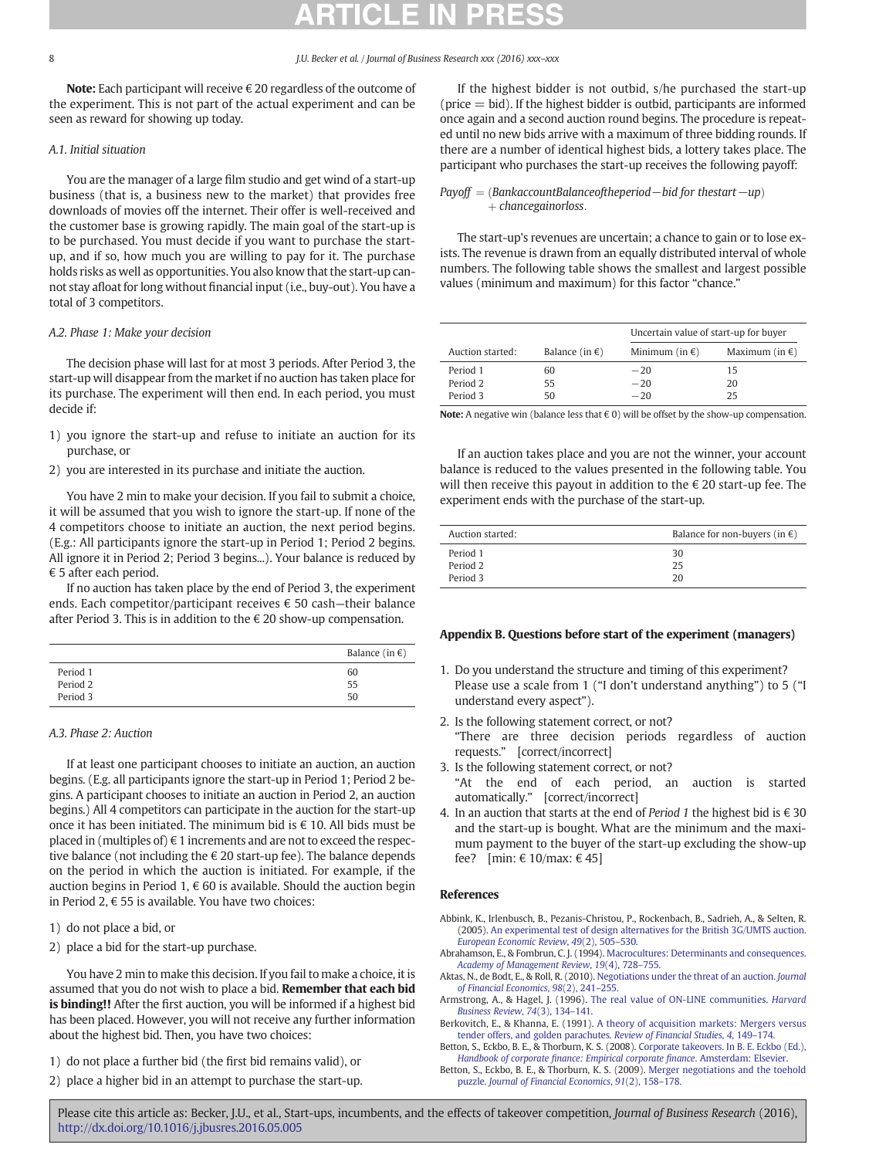<span id="page-7-0"></span>Note: Each participant will receive € 20 regardless of the outcome of the experiment. This is not part of the actual experiment and can be seen as reward for showing up today.

## A.1. Initial situation

You are the manager of a large film studio and get wind of a start-up business (that is, a business new to the market) that provides free downloads of movies off the internet. Their offer is well-received and the customer base is growing rapidly. The main goal of the start-up is to be purchased. You must decide if you want to purchase the startup, and if so, how much you are willing to pay for it. The purchase holds risks as well as opportunities. You also know that the start-up cannot stay afloat for long without financial input (i.e., buy-out). You have a total of 3 competitors.

## A.2. Phase 1: Make your decision

The decision phase will last for at most 3 periods. After Period 3, the start-up will disappear from the market if no auction has taken place for its purchase. The experiment will then end. In each period, you must decide if:

- 1) you ignore the start-up and refuse to initiate an auction for its purchase, or
- 2) you are interested in its purchase and initiate the auction.

You have 2 min to make your decision. If you fail to submit a choice, it will be assumed that you wish to ignore the start-up. If none of the 4 competitors choose to initiate an auction, the next period begins. (E.g.: All participants ignore the start-up in Period 1; Period 2 begins. All ignore it in Period 2; Period 3 begins...). Your balance is reduced by € 5 after each period.

If no auction has taken place by the end of Period 3, the experiment ends. Each competitor/participant receives  $\epsilon$  50 cash-their balance after Period 3. This is in addition to the  $\epsilon$  20 show-up compensation.

|          | Balance (in $\epsilon$ ) |
|----------|--------------------------|
| Period 1 | 60                       |
| Period 2 | 55                       |
| Period 3 | 50                       |

# A.3. Phase 2: Auction

If at least one participant chooses to initiate an auction, an auction begins. (E.g. all participants ignore the start-up in Period 1; Period 2 begins. A participant chooses to initiate an auction in Period 2, an auction begins.) All 4 competitors can participate in the auction for the start-up once it has been initiated. The minimum bid is  $\epsilon$  10. All bids must be placed in (multiples of)  $\in$  1 increments and are not to exceed the respective balance (not including the  $\epsilon$  20 start-up fee). The balance depends on the period in which the auction is initiated. For example, if the auction begins in Period 1,  $\epsilon$  60 is available. Should the auction begin in Period 2,  $\epsilon$  55 is available. You have two choices:

- 1) do not place a bid, or
- 2) place a bid for the start-up purchase.

You have 2 min to make this decision. If you fail to make a choice, it is assumed that you do not wish to place a bid. Remember that each bid is binding!! After the first auction, you will be informed if a highest bid has been placed. However, you will not receive any further information about the highest bid. Then, you have two choices:

- 1) do not place a further bid (the first bid remains valid), or
- 2) place a higher bid in an attempt to purchase the start-up.

If the highest bidder is not outbid, s/he purchased the start-up  $(price = bid)$ . If the highest bidder is outbid, participants are informed once again and a second auction round begins. The procedure is repeated until no new bids arrive with a maximum of three bidding rounds. If there are a number of identical highest bids, a lottery takes place. The participant who purchases the start-up receives the following payoff:

### $Payoff = (BankaccountBalance of the period – bid for the start–up)$  $+$  chancegainorloss.

The start-up's revenues are uncertain; a chance to gain or to lose exists. The revenue is drawn from an equally distributed interval of whole numbers. The following table shows the smallest and largest possible values (minimum and maximum) for this factor "chance."

|                     |                          | Uncertain value of start-up for buyer |                          |
|---------------------|--------------------------|---------------------------------------|--------------------------|
| Auction started:    | Balance (in $\epsilon$ ) | Minimum (in $\epsilon$ )              | Maximum (in $\epsilon$ ) |
| Period 1            | 60                       | $-20$                                 | 15                       |
| Period <sub>2</sub> | 55                       | $-20$                                 | 20                       |
| Period 3            | 50                       | $-20$                                 | 25                       |

Note: A negative win (balance less that  $\epsilon$  0) will be offset by the show-up compensation.

If an auction takes place and you are not the winner, your account balance is reduced to the values presented in the following table. You will then receive this payout in addition to the  $\epsilon$  20 start-up fee. The experiment ends with the purchase of the start-up.

| Auction started: | Balance for non-buyers (in $\epsilon$ ) |
|------------------|-----------------------------------------|
| Period 1         | 30                                      |
| Period 2         | 25                                      |
| Period 3         | 20                                      |

### Appendix B. Questions before start of the experiment (managers)

- 1. Do you understand the structure and timing of this experiment? Please use a scale from 1 ("I don't understand anything") to 5 ("I understand every aspect").
- 2. Is the following statement correct, or not?
- "There are three decision periods regardless of auction requests." [correct/incorrect]
- 3. Is the following statement correct, or not?
- "At the end of each period, an auction is started automatically." [correct/incorrect]
- 4. In an auction that starts at the end of Period 1 the highest bid is  $\epsilon$  30 and the start-up is bought. What are the minimum and the maximum payment to the buyer of the start-up excluding the show-up fee?  ${\min:} \in 10/\text{max:} \in 45$

# **References**

- Abbink, K., Irlenbusch, B., Pezanis-Christou, P., Rockenbach, B., Sadrieh, A., & Selten, R. (2005). [An experimental test of design alternatives for the British 3G/UMTS auction.](http://refhub.elsevier.com/S0148-2963(16)30304-6/rf0005) [European Economic Review](http://refhub.elsevier.com/S0148-2963(16)30304-6/rf0005), 49(2), 505–530.
- Abrahamson, E., & Fombrun, C. J. (1994). [Macrocultures: Determinants and consequences.](http://refhub.elsevier.com/S0148-2963(16)30304-6/rf0010) [Academy of Management Review](http://refhub.elsevier.com/S0148-2963(16)30304-6/rf0010), 19(4), 728–755.
- Aktas, N., de Bodt, E., & Roll, R. (2010). [Negotiations under the threat of an auction.](http://refhub.elsevier.com/S0148-2963(16)30304-6/rf0015) Journal [of Financial Economics](http://refhub.elsevier.com/S0148-2963(16)30304-6/rf0015), 98(2), 241–255.
- Armstrong, A., & Hagel, J. (1996). [The real value of ON-LINE communities.](http://refhub.elsevier.com/S0148-2963(16)30304-6/rf0020) Harvard [Business Review](http://refhub.elsevier.com/S0148-2963(16)30304-6/rf0020), 74(3), 134–141.
- Berkovitch, E., & Khanna, E. (1991). [A theory of acquisition markets: Mergers versus](http://refhub.elsevier.com/S0148-2963(16)30304-6/rf0025) [tender offers, and golden parachutes.](http://refhub.elsevier.com/S0148-2963(16)30304-6/rf0025) Review of Financial Studies, 4, 149–174. Betton, S., Eckbo, B. E., & Thorburn, K. S. (2008). [Corporate takeovers. In B. E. Eckbo \(Ed.\),](http://refhub.elsevier.com/S0148-2963(16)30304-6/rf0030)
- Handbook of corporate fi[nance: Empirical corporate](http://refhub.elsevier.com/S0148-2963(16)30304-6/rf0030) finance. Amsterdam: Elsevier.
- Betton, S., Eckbo, B. E., & Thorburn, K. S. (2009). [Merger negotiations and the toehold](http://refhub.elsevier.com/S0148-2963(16)30304-6/rf0035) puzzle. [Journal of Financial Economics](http://refhub.elsevier.com/S0148-2963(16)30304-6/rf0035), 91(2), 158–178.